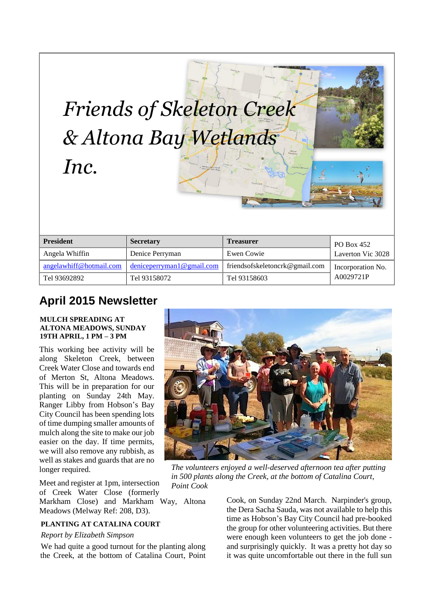| Inc.                    | & Altona Bay Wetlands<br>. Wember Armcultural<br>GEO | Altona<br>Cheetham Wedands     |                   |
|-------------------------|------------------------------------------------------|--------------------------------|-------------------|
| <b>President</b>        | <b>Secretary</b>                                     | <b>Treasurer</b>               | PO Box 452        |
| Angela Whiffin          | Denice Perryman                                      | Ewen Cowie                     | Laverton Vic 3028 |
| angelawhiff@hotmail.com | deniceperryman1@gmail.com                            | friendsofskeletoncrk@gmail.com | Incorporation No. |
| Tel 93692892            | Tel 93158072                                         | Tel 93158603                   | A0029721P         |

*Friends of Skeleton Creek* 

# **April 2015 Newsletter**

#### **MULCH SPREADING AT ALTONA MEADOWS, SUNDAY 19TH APRIL, 1 PM – 3 PM**

This working bee activity will be along Skeleton Creek, between Creek Water Close and towards end of Merton St, Altona Meadows. This will be in preparation for our planting on Sunday 24th May. Ranger Libby from Hobson's Bay City Council has been spending lots of time dumping smaller amounts of mulch along the site to make our job easier on the day. If time permits, we will also remove any rubbish, as well as stakes and guards that are no longer required.

Meet and register at 1pm, intersection of Creek Water Close (formerly

Markham Close) and Markham Way, Altona Meadows (Melway Ref: 208, D3).

## **PLANTING AT CATALINA COURT**

#### *Report by Elizabeth Simpson*

We had quite a good turnout for the planting along the Creek, at the bottom of Catalina Court, Point



*The volunteers enjoyed a well-deserved afternoon tea after putting in 500 plants along the Creek, at the bottom of Catalina Court, Point Cook*

Cook, on Sunday 22nd March. Narpinder's group, the Dera Sacha Sauda, was not available to help this time as Hobson's Bay City Council had pre-booked the group for other volunteering activities. But there were enough keen volunteers to get the job done and surprisingly quickly. It was a pretty hot day so it was quite uncomfortable out there in the full sun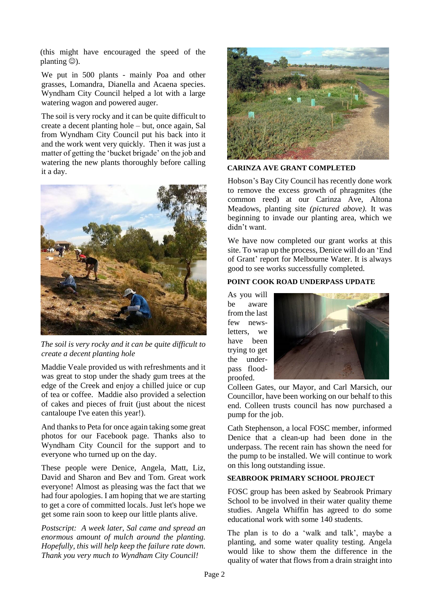(this might have encouraged the speed of the planting  $\circledcirc$ ).

We put in 500 plants - mainly Poa and other grasses, Lomandra, Dianella and Acaena species. Wyndham City Council helped a lot with a large watering wagon and powered auger.

The soil is very rocky and it can be quite difficult to create a decent planting hole – but, once again, Sal from Wyndham City Council put his back into it and the work went very quickly. Then it was just a matter of getting the 'bucket brigade' on the job and watering the new plants thoroughly before calling it a day.



*The soil is very rocky and it can be quite difficult to create a decent planting hole*

Maddie Veale provided us with refreshments and it was great to stop under the shady gum trees at the edge of the Creek and enjoy a chilled juice or cup of tea or coffee. Maddie also provided a selection of cakes and pieces of fruit (just about the nicest cantaloupe I've eaten this year!).

And thanks to Peta for once again taking some great photos for our Facebook page. Thanks also to Wyndham City Council for the support and to everyone who turned up on the day.

These people were Denice, Angela, Matt, Liz, David and Sharon and Bev and Tom. Great work everyone! Almost as pleasing was the fact that we had four apologies. I am hoping that we are starting to get a core of committed locals. Just let's hope we get some rain soon to keep our little plants alive.

*Postscript: A week later, Sal came and spread an enormous amount of mulch around the planting. Hopefully, this will help keep the failure rate down. Thank you very much to Wyndham City Council!*



#### **CARINZA AVE GRANT COMPLETED**

Hobson's Bay City Council has recently done work to remove the excess growth of phragmites (the common reed) at our Carinza Ave, Altona Meadows, planting site *(pictured above).* It was beginning to invade our planting area, which we didn't want.

We have now completed our grant works at this site. To wrap up the process, Denice will do an 'End of Grant' report for Melbourne Water. It is always good to see works successfully completed.

## **POINT COOK ROAD UNDERPASS UPDATE**

As you will be aware from the last few newsletters, we have been trying to get the underpass floodproofed.



Colleen Gates, our Mayor, and Carl Marsich, our Councillor, have been working on our behalf to this end. Colleen trusts council has now purchased a pump for the job.

Cath Stephenson, a local FOSC member, informed Denice that a clean-up had been done in the underpass. The recent rain has shown the need for the pump to be installed. We will continue to work on this long outstanding issue.

## **SEABROOK PRIMARY SCHOOL PROJECT**

FOSC group has been asked by Seabrook Primary School to be involved in their water quality theme studies. Angela Whiffin has agreed to do some educational work with some 140 students.

The plan is to do a 'walk and talk', maybe a planting, and some water quality testing. Angela would like to show them the difference in the quality of water that flows from a drain straight into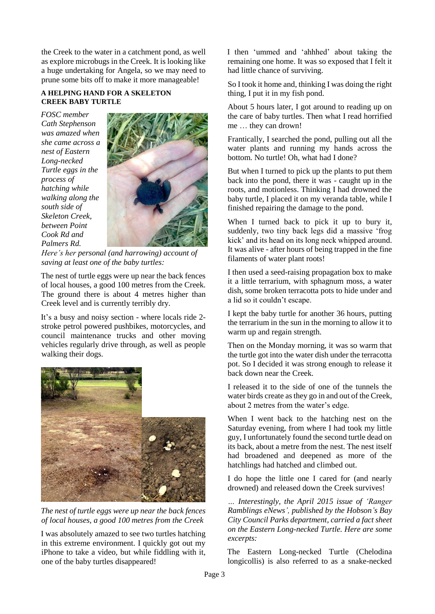the Creek to the water in a catchment pond, as well as explore microbugs in the Creek. It is looking like a huge undertaking for Angela, so we may need to prune some bits off to make it more manageable!

#### **A HELPING HAND FOR A SKELETON CREEK BABY TURTLE**

*FOSC member Cath Stephenson was amazed when she came across a nest of Eastern Long-necked Turtle eggs in the process of hatching while walking along the south side of Skeleton Creek, between Point Cook Rd and Palmers Rd.* 



*Here's her personal (and harrowing) account of saving at least one of the baby turtles:*

The nest of turtle eggs were up near the back fences of local houses, a good 100 metres from the Creek. The ground there is about 4 metres higher than Creek level and is currently terribly dry.

It's a busy and noisy section - where locals ride 2 stroke petrol powered pushbikes, motorcycles, and council maintenance trucks and other moving vehicles regularly drive through, as well as people walking their dogs.



*The nest of turtle eggs were up near the back fences of local houses, a good 100 metres from the Creek*

I was absolutely amazed to see two turtles hatching in this extreme environment. I quickly got out my iPhone to take a video, but while fiddling with it, one of the baby turtles disappeared!

I then 'ummed and 'ahhhed' about taking the remaining one home. It was so exposed that I felt it had little chance of surviving.

So I took it home and, thinking I was doing the right thing, I put it in my fish pond.

About 5 hours later, I got around to reading up on the care of baby turtles. Then what I read horrified me … they can drown!

Frantically, I searched the pond, pulling out all the water plants and running my hands across the bottom. No turtle! Oh, what had I done?

But when I turned to pick up the plants to put them back into the pond, there it was - caught up in the roots, and motionless. Thinking I had drowned the baby turtle, I placed it on my veranda table, while I finished repairing the damage to the pond.

When I turned back to pick it up to bury it, suddenly, two tiny back legs did a massive 'frog kick' and its head on its long neck whipped around. It was alive - after hours of being trapped in the fine filaments of water plant roots!

I then used a seed-raising propagation box to make it a little terrarium, with sphagnum moss, a water dish, some broken terracotta pots to hide under and a lid so it couldn't escape.

I kept the baby turtle for another 36 hours, putting the terrarium in the sun in the morning to allow it to warm up and regain strength.

Then on the Monday morning, it was so warm that the turtle got into the water dish under the terracotta pot. So I decided it was strong enough to release it back down near the Creek.

I released it to the side of one of the tunnels the water birds create as they go in and out of the Creek, about 2 metres from the water's edge.

When I went back to the hatching nest on the Saturday evening, from where I had took my little guy, I unfortunately found the second turtle dead on its back, about a metre from the nest. The nest itself had broadened and deepened as more of the hatchlings had hatched and climbed out.

I do hope the little one I cared for (and nearly drowned) and released down the Creek survives!

*… Interestingly, the April 2015 issue of 'Ranger Ramblings eNews', published by the Hobson's Bay City Council Parks department, carried a fact sheet on the Eastern Long-necked Turtle. Here are some excerpts:*

The Eastern Long-necked Turtle (Chelodina longicollis) is also referred to as a snake-necked